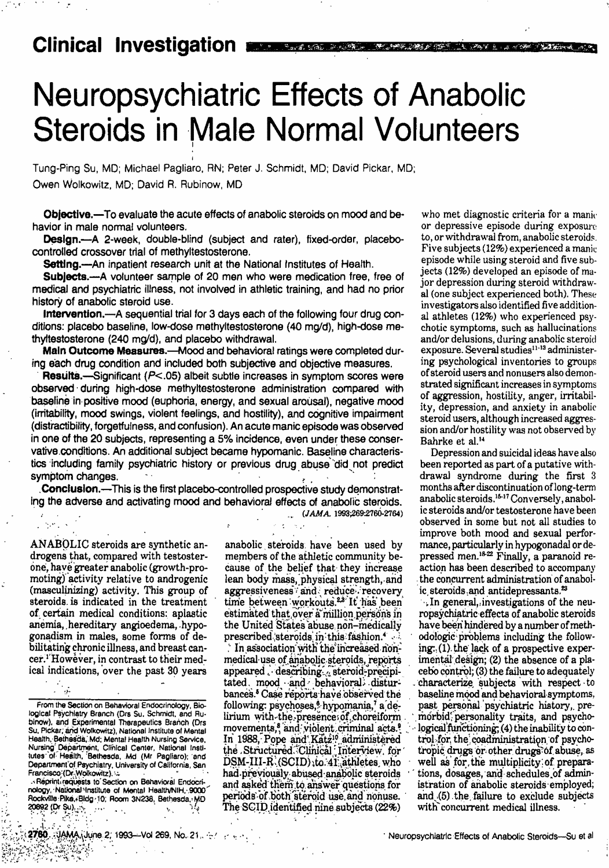## **Clinical Investigation** ,

## Neuropsychiatric Effects of Anabolic **Steroids in Male Normal Volunteers**

Tung-Ping Su, MD; Michael Pagliaro, RN; Peter J. Schmidt, MD; David Pickar, MD; Owen Wolkowitz, MD; David R. Rubinow, MD

**Objective,-**To evaluate the acute effects of anabolic steroids on mood and behavior in male normal volunteers.

Design.-A 2-week, double-blind (subject and rater), fixed-order, placebocontrolled crossover trial of methyltestosterone.

Settling.-An inpatient research unit at the National Institutes of Health.

Subjects.-A volunteer sample of 20 men who were medication free, free of medical and psychiatric illness, not involved in athletic training, and had no prior history of anabolic steroid use.

Intervention.-A sequential trial for 3 days each of the following four drug conditions: placebo baseline, low-dose methyltestosterone (40 mg/d), high-dose methyltestosterone (240 mg/d), and placebo withdrawal.

Main Outcome Measures.--Mood and behavioral ratings were completed during **each** drug condition and included both subjective and objective measures.

**Results.**—Significant (P<.05) albeit subtle increases in symptom scores were observed · during high-dose methyltestosterone administration compared with baseline in-positive mood (euphoria, energy, and sexual arousal), negative mood (irritabillty, mood swings, violent feelings, and hostillty), and cognitive impairment (distractibillty, forgetfulness, and confusion). An acute manic **episode** was observed in one Of the 20 subjects, representing a 5% incidence, even under these conservative conditions An additional subject became hypomanic. Baseline characteristics including family psychiatric history or previous drug abuse did not predict symptom changes.

.Conclusion.--This is the first placebo-controlled prospective study demonstratlng the adverse and activating mood and behavioral effects of anabolic steroids.

(JAMA 1993;269-2760-2764)

ANABOLIC steroids are synthetic an- drogens that, compared with testosterone, have greater anabolic (growth-promoting) activity relative to androgenic (masculinizing) activity. This group of steroids. is indicated in the treatment of certain medical conditions: aplastic anemia, hereditary angioedema, hypogonadism in males, some forms of debilitating chronic illness, and breast cancer.' However, in contrast to their medical indications, over the past 30 years

Reprint requests to Section on Bevavioral Endocri nology, National Institute of Mental Health/NIH, 9000 Rockville Pike, Bldg 10; Room 3N238, Bethesda, MD 20892 (Dr Su) ·.

members of the athletic community be-<br>cause of the belief that they increase action has been described to accompany cause of the belief that they increase action has been described to accompany<br>lean body mass, physical strength, and the concurrent administration of anabollean body mass, physical strength, and the concurrent administration of a<br>aggressiveness: and reduce: recovery ic steroids and antidepressants.<sup>23</sup> aggressiveness and reduce recovery ic steroids and antidepressants.<sup>22</sup> time between workouts.<sup>24</sup> It has been ... In general, investigations of the neutime between workouts <sup>24</sup> It has been In general, investigations of the neu-<br>It has been in that over a million persons in ropsychiatric effects of anabolic steroids<br>the United States abuse non-medically have been hindere the United States abuse non-medically prescribed steroids in this fashion.<sup>4</sup> odologic problems including the follow-

medical-use of anabolic steroids, reports imental design; (2) the absence of a pla-<br>appeared . describing. steroid-precipi- cebo control; (3) the failure to adequately appeared describing steroid precipitated. mood · and · behavioral; distur- characterize subjects with respect to bances Case reports have observed the<br>bances Case reports have observed the baseline mood and behavioral symptoms,<br>following: psychoses, hypoman following: psychoses,<sup>8</sup> hypomania,7 a de-<br>lirium with the presence of choreiform in orbid; personality traits, and psycholirium with the presence of choreiform morbid personality traits, and psycho-<br>movements, and violent criminal acts. \\leftle logical functioning; (4) the inability to conmovements, and violent criminal acts logical functioning (4) the inability to con-<br>In 1988, Pope and Katz<sup>10</sup> administered trol for the coadministration of psychothe . Structured Clinical Interview, for tropic drugs or other drugs of abuse, as DSM-III-R (SCID) to 41 athletes who vell as for the multiplicity of prepara-had previously abused anabolic steroids tions, dosages, and sche had previously abused anabolic steroids and asked them to answer questions for istration of anabolic steroids employed;<br>periods of both steroid use and nonuse. and (5) the failure to exclude subjects periods of both steroid use and nonuse. and (5) the failure to exclude and  $\Gamma$  is exclude subjects (22%) with concurrent medical illness. The SCID identified nine subjects (22%)

who met diagnostic criteria for a mani-<br>or depressive episode during exposure to, or withdrawal from, anabolic steroids. Five subjects **(12%)** experienced a manic episode while using steroid and five subjects (12%) developed an episode of major depression during steroid withdraw al (one subject experienced both). These investigators also identified five additional athletes (12%) who experienced psy chotic symptoms, such as hallucinations and/or delusions, during anabolic steroid exposure. Several studies<sup>11-13</sup> administering psychological inventories to groups of steroid users and nonusers also demonstrated significant increases in symptoms of aggression, hostility, anger, irritability, depression, and anxiety in anabolic steroid users, although increased aggression and/or hostility was not observed by Bahrke et al."

Depression and suicidal ideas have also been reported as part of a putative with drawal syndrome during the first 3 months after discontinuation oflong-term anabolic steroids.<sup>16-17</sup> Conversely, anabolic steroids and/or testosterone have been observed in some but not all studies to improve both mood and sexual perforanabolic steroids have been used by mance, particularly in hypogonadal or demembers of the athletic community be-<br>pressed men.<sup>1822</sup> Finally, a paranoid re-

In association with the increased non- $ing: (1)$  the lack of a prospective exper-

From the Section on Behavioral Endocrinology, Biological Psychiatry Branch (Drs Su, Schmidt, and Rubinow), and Experimental Therapeutics Branch (Drs Su, Pickar; and, Wolkowitz), National Institute of Mental Health, Bethesda, Md; Mental Health Nursing Service,<br>Nursing Department, Clinical Center, National Institutes of Health, Bethesda, Md (Mr Pagliaro); and Department of Psychiatry, University of California, San Francisco, (Dr Wolkowitz).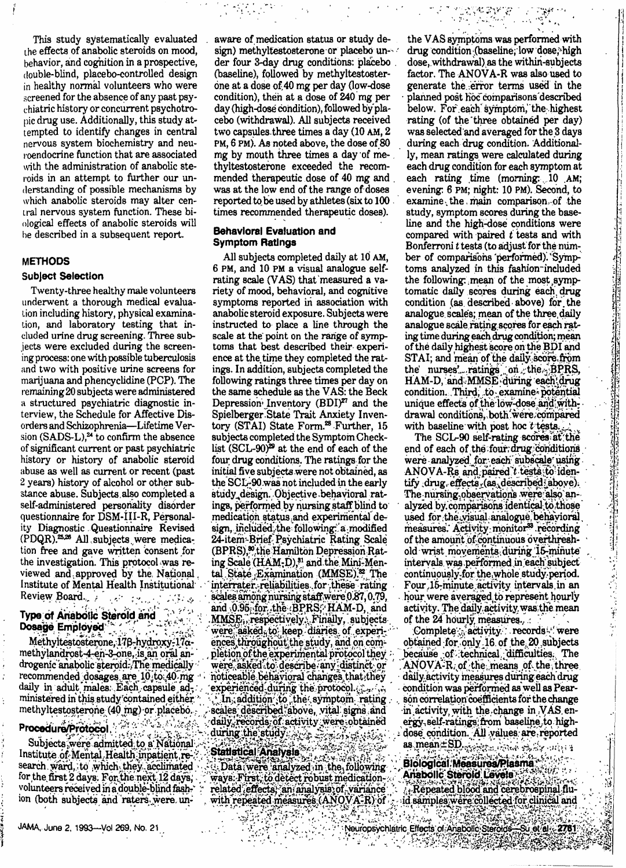This study systematically evaluated the effects of anabolic steroids on mood. behavior, and cognition in a prospective, double-blind, placebo-controlled design in healthy normal volunteers who were screened for the absence of any past psychiatric history or concurrent psychotropic drug use. Additionally, this study attempted to identify changes in central nervous system biochemistry and neuroendocrine function that are associated with the administration of anabolic steroids in an attempt to further our understanding of possible mechanisms by which anabolic steroids may alter central nervous system function. These biological effects of anabolic steroids will be described in a subsequent report.

#### **METHODS**

#### **Subject Selection**

Twenty-three healthy male volunteers underwent a thorough medical evaluation including history, physical examination, and laboratory testing that included urine drug screening. Three subjects were excluded during the screening process: one with possible tuberculosis and two with positive urine screens for marijuana and phencyclidine (PCP). The remaining 20 subjects were administered a structured psychiatric diagnostic interview, the Schedule for Affective Disorders and Schizophrenia-Lifetime Version (SADS-L),<sup>24</sup> to confirm the absence of significant current or past psychiatric history or history of anabolic steroid abuse as well as current or recent (past 2 years) history of alcohol or other substance abuse. Subjects also completed a self-administered personality disorder questionnaire for DSM-III-R, Personality Diagnostic Questionnaire Revised (PDQR),<sup>25,28</sup> All subjects were medication free and gave written consent for the investigation. This protocol was reviewed and approved by the National Institute of Mental Health Institutional Review Board. a Propinsi

# Type of Anabolic Steroid and<br>Dosage Employed

Methyltestosterone, 178-hydroxy-17amethylandrost-4-en-3-one, is an oral androgenic anabolic steroid. The medically recommended dosages are 10 to 40 mg daily in adult males. Each capsule administered in this study contained either methyltestosterone (40 mg) or placebo.

### Procedure/Protocol 2000 100000

يها تستبطينا Subjects, were admitted to a National Institute of Mental Health inpatient research ward, to which they acclimated for the first 2 days. For the next 12 days, volunteers received in a double-blind fashion (both subjects and raters were unaware of medication status or study design) methyltestosterone or placebo under four 3-day drug conditions: placebo (baseline), followed by methyltestosterone at a dose of 40 mg per day (low-dose condition), then at a dose of 240 mg per day (high-dose condition), followed by placebo (withdrawal). All subjects received two capsules three times a day (10 AM, 2) PM, 6 PM). As noted above, the dose of 80 mg by mouth three times a day of methyltestosterone exceeded the recommended therapeutic dose of 40 mg and was at the low end of the range of doses reported to be used by athletes (six to 100 times recommended therapeutic doses).

#### Behavloral Evaluation and **Symptom Ratings**

All subjects completed daily at 10 AM, 6 PM, and 10 PM a visual analogue selfrating scale (VAS) that measured a variety of mood, behavioral, and cognitive symptoms reported in association with anabolic steroid exposure. Subjects were instructed to place a line through the scale at the point on the range of symptoms that best described their experience at the time they completed the ratings. In addition, subjects completed the following ratings three times per day on the same schedule as the VAS: the Beck Depression Inventory (BDI)<sup>27</sup> and the Spielberger State Trait Anxiety Inventory (STAI) State Form.<sup>28</sup> Further, 15 subjects completed the Symptom Checklist (SCL-90)<sup>29</sup> at the end of each of the four drug conditions. The ratings for the initial five subjects were not obtained, as the SCL-90 was not included in the early study design. Objective behavioral ratings, performed by nursing staff blind to medication status and experimental design, included the following: a modified 24-item-Brief Psychiatric Rating Scale (BPRS),<sup>80</sup> the Hamilton Depression Rating Scale (HAM-D),<sup>31</sup> and the Mini-Mental State Examination (MMSE).<sup>82</sup> The interrater reliabilities for these rating scales among nursing staff were 0.87, 0.79, and 0.95 for the BPRS, HAM-D, and MMSE, respectively. Finally, subjects were asked<sub>5</sub>to keep diaries of experiences throughout the study, and on completion of the experimental protocol they were asked to describe any distinct or noticeable behavioral changes that they experienced during the protocol. Serving In addition to the symptom rating scales described above, vital signs and daily, records of activity were obtained during the study and strain states

Statistical Analysis Data were analyzed in the following ways: First, to detect robust medicationrelated effects, an analysis of variance with repeated measures (ANOVA-R) of 1755 P t a sé

the VAS symptoms was performed with drug condition (baseline, low dose, high dose, withdrawal) as the within-subjects factor. The ANOVA-R was also used to generate the error terms used in the planned post hoc comparisons described below. For each symptom, the highest rating (of the three obtained per day) was selected and averaged for the 3 days during each drug condition. Additionally, mean ratings were calculated during each drug condition for each symptom at each rating time (morning: 10 AM; evening: 6 PM; night: 10 PM). Second, to examine the main comparison of the study, symptom scores during the baseline and the high-dose conditions were compared with paired t tests and with Bonferroni t tests (to adjust for the number of comparisons performed). Symptoms analyzed in this fashion-included the following: mean of the most symptomatic daily scores during each drug condition (as described above) for the analogue scales; mean of the three daily analogue scale rating scores for each rating time during each drug condition; mean of the daily highest score on the BDI and STAI; and mean of the daily score from the nurses' ratings on the BPRS, HAM-D, and MMSE during each drug condition. Third, to examine potential unique effects of the low-dose and withdrawal conditions, both were compared with baseline with post hoc t tests.

-7,950

A TY

The SCL-90 self-rating scores at the end of each of the four drug conditions were analyzed for each subscale using ANOVA-Rs and paired t tests to identify drug effects (as described above). The nursing observations were also analyzed by comparisons identical to those used for the visual analogue behavioral measures. Activity monitor<sup>33</sup> recording of the amount of continuous overthreshold wrist movements during 15-minute intervals was performed in each subject continuously for the whole study period. Four 15-minute activity intervals in an hour were averaged to represent hourly activity. The daily activity was the mean of the 24 hourly measures.

Complete activity records were obtained for only 16 of the 20 subjects because of technical difficulties. The ANOVA-R. of the means of the three daily activity measures during each drug condition was performed as well as Pearson correlation coefficients for the change in activity with the change in VAS energy-self-ratings from baseline to highdose condition. All values are reported as mean ±SD execute codes to Synappy

Blological Measures/Plasma Anabolic Steroid Levels Repeated blood and cerebrospinal fluid samples were collected for clinical and

 $\mathbf{H}$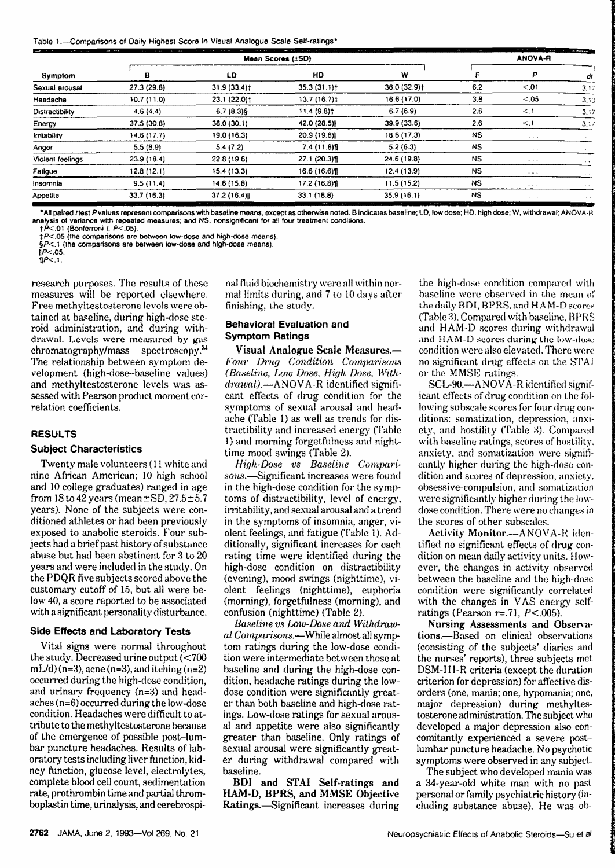| Table 1.-Comparisons of Daily Highest Score in Visual Analogue Scale Self-ratings* |  |  |
|------------------------------------------------------------------------------------|--|--|
|------------------------------------------------------------------------------------|--|--|

| said the first<br><b>STATE STATE</b><br>Symptom |                                                                                                                                                                                                                                               | --<br>--<br>Mean Scores (±SD)                                  |                                                                          |                                                           |           |                               | and it is a think of the construction of the construction of the construction of the construction of the construction of the construction of the construction of the construction of the construction of the construction of t<br>$\sim$<br>ANOVA-R |  |  |  |
|-------------------------------------------------|-----------------------------------------------------------------------------------------------------------------------------------------------------------------------------------------------------------------------------------------------|----------------------------------------------------------------|--------------------------------------------------------------------------|-----------------------------------------------------------|-----------|-------------------------------|-----------------------------------------------------------------------------------------------------------------------------------------------------------------------------------------------------------------------------------------------------|--|--|--|
|                                                 |                                                                                                                                                                                                                                               | LD                                                             | HD                                                                       | w                                                         |           | P                             |                                                                                                                                                                                                                                                     |  |  |  |
| Sexual arousal                                  | 27.3 (29.8)                                                                                                                                                                                                                                   | 31.9 (33.4)†                                                   | 35.3(31.1)                                                               | 36.0 (32.9) †                                             | 6.2       | < 0.01                        | 3,17                                                                                                                                                                                                                                                |  |  |  |
| Headache                                        | 10.7(11.0)                                                                                                                                                                                                                                    | 23.1 (22.0)†                                                   | 13.7(16.7)                                                               | 16.6 (17.0)                                               | 3.8       | < 0.05                        | 3,13                                                                                                                                                                                                                                                |  |  |  |
| Distractibility                                 | 4.6(4.4)                                                                                                                                                                                                                                      | 6.7(6.3)                                                       | 11.4 (9.8)†                                                              | 6.7(6.9)                                                  | 2.6       | < 1                           | 3,17                                                                                                                                                                                                                                                |  |  |  |
| Energy                                          | 37.5 (30.8)                                                                                                                                                                                                                                   | 38.0 (30.1)                                                    | 42.0 (28.5)                                                              | 39.9 (33.6)                                               | 2.6       | < 1                           | 3,17                                                                                                                                                                                                                                                |  |  |  |
| Irritability                                    | 14.6(17.7)                                                                                                                                                                                                                                    | 19.0 (16.3)                                                    | 20.9 (19.8)                                                              | 18.6 (17.3)                                               | <b>NS</b> | $\sim$ $\times$ $\times$      |                                                                                                                                                                                                                                                     |  |  |  |
| Anger                                           | 5.5(8.9)                                                                                                                                                                                                                                      | 5.4(7.2)                                                       | 7.4(11.6)                                                                | 5.2(6.3)                                                  | <b>NS</b> | $\mathbf{v}$ and $\mathbf{v}$ |                                                                                                                                                                                                                                                     |  |  |  |
| Violent feelings                                | 23.9 (18.4)                                                                                                                                                                                                                                   | 22.8 (19.6)                                                    | 27.1 (20.3)                                                              | 24.6 (19.8)                                               | <b>NS</b> | 1.111                         |                                                                                                                                                                                                                                                     |  |  |  |
| Fatigue                                         | 12.8(12.1)                                                                                                                                                                                                                                    | 15.4 (13.3)                                                    | 16.6 (16.6)]                                                             | 12.4(13.9)                                                | <b>NS</b> | 1.1.1                         |                                                                                                                                                                                                                                                     |  |  |  |
| Insomnia                                        | 9.5(11.4)                                                                                                                                                                                                                                     | 14.6 (15.8)                                                    | 17.2 (16.8)                                                              | 11.5 (15.2)                                               | <b>NS</b> | $\cdots$                      |                                                                                                                                                                                                                                                     |  |  |  |
| Appetite                                        | 33.7 (16.3)<br>the second was sense to construct the contract of the contract of the contract of the contract of the contract of the contract of the contract of the contract of the contract of the contract of the contract of the contract | 37.2 (16.4)<br>the contract of the contract of the contract of | 33.1 (18.8)<br><b><i><u>Property Links Control States (2001)</u></i></b> | 35.9 (16.1)<br>the country of the country of the material | <b>NS</b> | $\cdots$                      | <b>ALC</b><br>and the contract of the contract of the contract of                                                                                                                                                                                   |  |  |  |

"All paired ttest P valuesrepresenl comparisons with baseline means, except as otherwise noted. B indicates baseline; LO, low dose; HD. high dose; W, withdrawal; ANOVA-R analysis of variance with repeated measures; and NS, nonsignificant !or all lour treatment conditions.

 $t \to P$ < 01 (Bonferroni t,  $P$ < 05).

t:P<.05 (the comparisons are between low-dose and high-dose means).

SP<.1 (the comparisons are between low-dose and high-dose means).<br>P<.05.

research purposes. The results of these measures will be reported elsewhere. Free methyltestosterone levels were obtained at baseline, during high-dose steroid administration. and during with drawal Levels were measured by gas chromatography/mass spectroscopy. The relationship between symptom development (high-dose-baseline values) and methyltestosterone levels was assessed with Pearson product moment correlation coefficients.

#### **RESULTS**

#### **Subject Characteristics**

Twenty male volunteers ( 11 white and nine African American; IO high school and IO college graduates) ranged in age from  $18 \text{ to } 42 \text{ years}$  (mean $\pm$ SD, 27.5 + 5.7) years). None of the subjects were conditioned athletes or had been previously exposed to anabolic steroids. four subjects had a brief past history of substance abuse but had been abstinent for 3 to 20 years and were included in the study. On the PDQR five subjects scored above the customary cutoff of 15. but all were below 40, a score reported to be associated with a significant personality disturbance.

#### **Side Effects and Laboratory Tests**

Vital signs were normal throughout the study. Decreased urine output  $\zeta$  <700  $mL/d$ ) (n=3), acne (n=3), and itching (n=2) occurred during the high-dose condition, and urinary frequency (n=3) and head**aches(n=6)occurred** du ring the low-dose condition. Headaches were difficult to at**tribute to the** methvltestosterone because **of the emergence** of possible post-lum**bar puncture** headaches. Results of laboratory tests **including liver function, kid**ney function, **glucose level, electrolytes,**  complete blood **cell count, sedimentation rate, prothrombin** time and partial throm**boplastin** time, **urinalysis, and** cerebrospinal fluid biochemistry were all within normal limits during. and 7 to 10 days after finishing, the study.

#### **Behavioral Evaluation** and **Symptom Ratings**

**Visual Analogue** Scale Measures. - *Four Drug Condition* Comparisons *(Baseline, Low Dose, High Dose. Withdrawal) - ANOVA - R*identified significant effects of drug condition for the symptoms of sexual arousal and headache (Table I) as well as trends for distractibility and increased energy (Table I) and morning forgetfulness and nighttime mood swings (Table 2).

*High Dose vs Baseline Compari*sons.—Significant increases were found in the high-dose condition for the symptoms **of** distractibility, level of energy, irritability, and sexual arousal and a trend in the symptoms of insomnia. anger, vi**olent feelings,** and fatigue (Table 1). Additionally, significant increases for each rating time were identified during the **high-dose** condition on distractibility **(evening), mood** swings (nighttime). vi**olent feelings** (nighttime), euphoria (morning), forgetfulness (morning), and confusion (nighttime) (Table 2).

*Baseline vs [.,ow-Dose and Withdraw*al Comparisons. - While almost all symptom ratings during the low-dose condition were intermediate between those at baseline and during the high-dose condition, headache ratings during the lowdose condition were significantly great**er than both** baseline and high-dose ratings. Low-close ratings for sexual arous**al and appetite** were also significantly **greater than** baseline. Only ratings **of**  sexual arousal were significantly greater during **withdrawal compared with**  baseline.

**BDI** and **STAI Self-ratings and HAM-D, BPRS,** and **MMSE** Objective Ratings.-Significant increases during

the high-dose condition compared wit.h baseline were observed in the mean of the daily 801, BPRS. and HAM-D scores **(Table 3).Compared** with baseline. BPRS and HAM-D scores during withdrawal and HAM-D scores during the low-dose condition were also elevated, There were no significant drug effects on the STA1 **or the MMSE** ratings.

**SCL-90.-ANOV** A-R identified significant effects of drug condition on the following subscale scores for four drug conditions: somatization, depression, anxiety, and hostility (Table 3). Compared with baseline ratings, scores of hostility. anxiety, and somatization were significantly higher during the high-dose condition and scores of depression, anxiety, obsessive-compulsion, and somatization were significantly higher during the lowdose condition.There were no changes in the scores of other subscales.

**Activity Monitor.--- ANOVA-R iden**tified no significant effects of drug condition on mean daily activity units. However, the changes in activity observed between the baseline and the high-dose condition were significantly correlated with the changes in VAS energy selfratings (Pearson r=.71, *P<.005).* 

**Nursing Assessments and Observa**tions. - Based on clinical observations (consisting of the subjects' diaries and the nurses' reports), three subjects met DSM-111-R criteria (except the duration criterion for depression) for affective disorders (one, mania; one, hypomania; one, **major depression)** during methyltestosterone administration. The subject who **developed a** major depression also con· comitantly experienced a severe postlumbar puncture headache. No psychotic symptoms were observed in any subject.

The subject who developed mania was a 34-year-old white man with no past personal or family psychiatric history (including substance abuse). He was ob-

HP<.05. 11P<.I.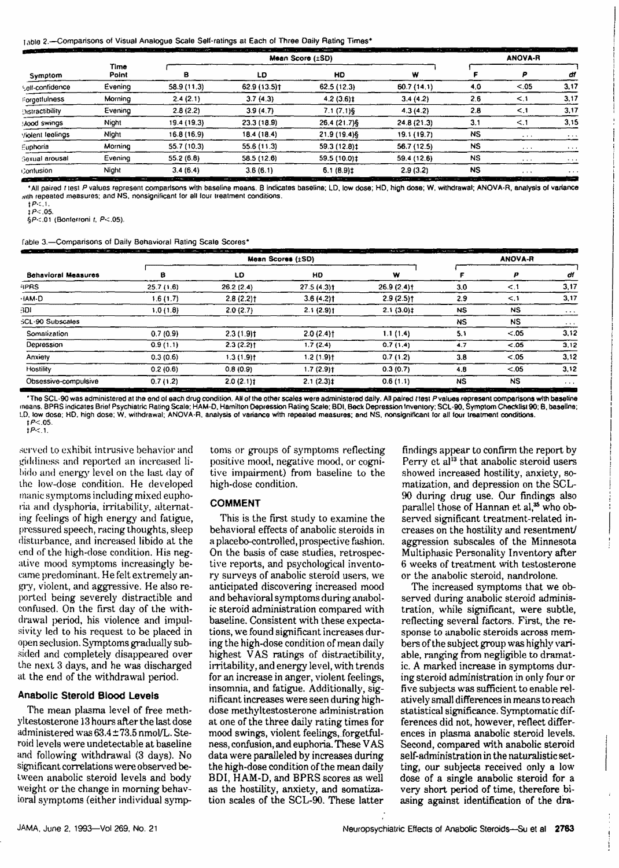Table 2.-Comparisons of Visual Analogue Scale Self-ratings at Each of Three Daily Rating Times

| the committee of the  |               |             | 1.17.1<br><b>Sales And</b><br>Mean Score (±SD) |                         |             |           | $\sim$<br>--<br>The state of the state and the state of the<br><b>ANOVA-R</b> |          |  |
|-----------------------|---------------|-------------|------------------------------------------------|-------------------------|-------------|-----------|-------------------------------------------------------------------------------|----------|--|
| Symptom               | Time<br>Point | в           | LD                                             | HD                      | w           |           |                                                                               | di       |  |
| self-confidence       | Evening       | 58.9 (11.3) | 62.9 (13.5)†                                   | 62.5 (12.3)             | 60.7(14.1)  | 4.0       | < 0.05                                                                        | 3,17     |  |
| Corgetfulness         | Morning       | 2.4(2.1)    | 3.7(4.3)                                       | $4.2(3.6)$ t            | 3.4(4.2)    | 2.6       | $\leq$ 1                                                                      | 3,17     |  |
| Oistractibility       | Evening       | 2.8(2.2)    | 3.9(4.7)                                       | $7.1(7.1)$ <sup>6</sup> | 4.3(4.2)    | 2.8       |                                                                               | 3,17     |  |
| Mood swings           | Night         | 19.4 (19.3) | 23.3(18.9)                                     | 26.4 (21.7) \$          | 24.8(21.3)  | 3.1       | $\leq$ .1                                                                     | 3.15     |  |
| violent leelings      | Night         | 16.8 (16.9) | 18.4 (18.4)                                    | 21.9 (19.4) §           | 19.1 (19.7) | <b>NS</b> | $\cdots$                                                                      | $\cdots$ |  |
| Euphoria              | Morning       | 55.7 (10.3) | 55.6 (11.3)                                    | 59.3 (12.8) ‡           | 56.7 (12.5) | <b>NS</b> | $\cdots$                                                                      | $\cdots$ |  |
| <b>Gexual arousal</b> | Evening       | 55.2(6.8)   | 58.5 (12.6)                                    | 59.5 (10.0) ‡           | 59.4 (12.6) | <b>NS</b> | $\cdots$                                                                      | $\cdots$ |  |
| Contusion             | Night         | 3.4(6.4)    | 3.6(6.1)                                       | $6.1(8.9)$ ‡            | 2.9(3.2)    | <b>NS</b> | $\cdots$                                                                      | $\cdots$ |  |

• All paired f 1es1 *P* values represent comparisons with baseline moans. 8 indicates baseline; LO, low dose; HD, high dose; W, withdrawal; ANOVA-R, analysls of variance with repeated measures: and NS, nonsignificant for all lour treatment conditions.

 $\frac{1}{1}$  $\frac{P \cdot 1}{P \cdot 0.05}$ 

iP<.05. §P<.01 (Bonferroni r, P<.05).

Table3.-Comparisons of Daily Behavioral Rating Scale Scores•

| the state of the state of the                                                    | <b>CARL CARL</b>                              | <b>State of State 10</b><br>The continue of the con-<br>$ \sim$ $+$<br>All of the<br>ANOVA-R |                                                      |                                              |           |                                                                                                         |                                |
|----------------------------------------------------------------------------------|-----------------------------------------------|----------------------------------------------------------------------------------------------|------------------------------------------------------|----------------------------------------------|-----------|---------------------------------------------------------------------------------------------------------|--------------------------------|
| <b>Behavioral Measures</b>                                                       | в                                             | LD                                                                                           | HD                                                   | w                                            |           |                                                                                                         | dі                             |
| <b>SPRS</b>                                                                      | 25.7(1.6)                                     | 26.2(2.4)                                                                                    | $27.5(4.3)$ t                                        | $26.9(2.4)$ <sup>+</sup>                     | 3.0       | < 1                                                                                                     | 3,17                           |
| ·IAM-D                                                                           | 1.6(1.7)                                      | $2.8(2.2)$ t                                                                                 | $3.6(4.2)$ t                                         | $2.9(2.5)$ <sup>+</sup>                      | 2.9       | < 1                                                                                                     | 3,17                           |
| 3DI                                                                              | 1.0(1.8)                                      | 2.0(2.7)                                                                                     | 2.1(2.9)1                                            | $2.1(3.0)$ ‡                                 | <b>NS</b> | NS                                                                                                      | $\cdots$                       |
| SCL-90 Subscales                                                                 |                                               |                                                                                              |                                                      |                                              | <b>NS</b> | <b>NS</b>                                                                                               | $\cdots$                       |
| Somatization                                                                     | 0.7(0.9)                                      | $2.3(1.9)$ t                                                                                 | $2.0(2.4)$ t                                         | 1.1(1.4)                                     | 5.1       | < 0.05                                                                                                  | 3.12                           |
| Depression                                                                       | 0.9(1.1)                                      | $2.3(2.2)$ t                                                                                 | 1.7(2.4)                                             | 0.7(1.4)                                     | 4.7       | < 0.05                                                                                                  | 3,12                           |
| Anxiety                                                                          | 0.3(0.6)                                      | $1.3(1.9)$ t                                                                                 | $1.2(1.9)$ t                                         | 0.7(1.2)                                     | 3.8       | $-.05$                                                                                                  | 3.12                           |
| Hostility                                                                        | 0.2(0.6)                                      | 0.8(0.9)                                                                                     | $1.7(2.9)$ t                                         | 0.3(0.7)                                     | 4.8       | < 0.05                                                                                                  | 3.12                           |
| Obsessive-compulsive<br>ويردون والمتوال<br>the second control of the second con- | 0.7(1.2)<br>1.111<br>$\sim$<br>The Company of | $2.0(2.1)$ <sup>+</sup><br><br>The first product of the                                      | $2.1(2.3)$ ‡<br>the following and the company of the | 0.6(1.1)<br>the state of the property of the | <b>NS</b> | <b>NS</b><br>A contract the contract of the contract of the contract of the contract of the contract of | $\cdots$<br>the company of the |

\* The SCL-90 was administered at the end of each drug condition. All of the other scales were administered daily. All paired itest Pvalues represent comparisons with baseline means. BPRS indicates Brief Psychiatric Rating Scale; HAM-D, Hamilton Depression Rating Scale; BDI, Beck Depression Imventory; SCL-90, Symptom Checklist 90; B, baseline;<br>LD, tow dose; HD. high dose; W, withdrawal; ANOVA-R,  $tP < 05$ 

 $IP<1$ .

served to exhibit intrusive behavior and giddiness and reported an increased libido and energy level on the last day of the low-dose condition. He developed manic symptoms including mixed eupho-1·ia and dysphoria, irritability, alternating feelings of high energy and fatigue, pressured speech, racing thoughts, sleep disturbance, and increased libido at the end of the high-dose condition. His negative mood symptoms increasingly became predominant. He felt extremely angry, violent, and aggressive. He also reported being severely distractible and confused. On the first day of the withdrawal period, his violence and impulsivity led to his request to be placed in open seclusion. Symptoms gradually subsided and completely disappeared over the next 3 days, and he was discharged at the end of the withdrawal **period.** 

#### **Anabolic Steroid Blood Levels**

The mean plasma level of free methyltestosterone 13 hours after the **last** dose administered was  $63.4 \pm 73.5$  nmol/L. Steroid levels were undeteetable at baseline and following withdrawal (3 days). **No**  significant correlations were observed **be**tween **anabolic** steroid levels and body weight or the change in morning behavioral symptoms (either individual symp-

toms or groups of symptoms reflecting positive mood, negative mood, or cognitive impairment) from baseline to the high-dose condition.

### **COMMENT**

This is the first study to examine the behavioral effects of anabolic steroids in a placebo-controlled, prospective fashion. On the basis of case studies, retrospective reports, and psychological inventory surveys of anabolic steroid users, we anticipated discovering increased mood and behavioral symptoms during anabolic steroid administration compared with baseline. Consistent with these expectations, we found significant increases during the high-dose condition of mean daily highest VAS ratings of distractibility, irritability, and energy level, with trends for an increase in anger, violent feelings, insomnia, and fatigue. Additionally, significant increases were seen during highdose methyltestosterone administration at one of the three daily rating times for mood swings, violent feelings, forgetfulness, confusion, and euphoria. These VAS data were paralleled hy increases during the high-dose condition of the mean daily BDI, HAM-D, and BPRS scores as well as the hostility, anxiety, and somatization scales of the SCL-90. These latter

findings appear to confirm the report by Perry et al<sup>13</sup> that anabolic steroid users showed increased hostility, anxiety, somatization, and depression on the SCL-90 during drug use. Our findings also parallel those of Hannan et al,<sup>35</sup> who observed significant treatment-related increases on the hostility and resentment) aggression subscales of the Minnesota Multiphasic Personality Inventory after 6 weeks of treatment with testosterone or the anabolic steroid, nandrolone.

The increased symptoms that we observed during anabolic steroid administration, while significant, were subtle, reflecting several factors. First, the **re**sponse to anabolic steroids across members of the subject group **was** highly variable, ranging from negligible to dramatic. A marked increase in symptoms during steroid administration in only four or five subjects was sufficient to enable relatively small differences in means to reach statistical significance. Symptomatic differences did not. however, refleet differences in plasma anabolic steroid levels. Second, compared with anabolic steroid self-administration in the naturalistic setting, our subjeets received only a low dose of a single anabolic steroid for a very short period of time, therefore biasing against identification of the dra-